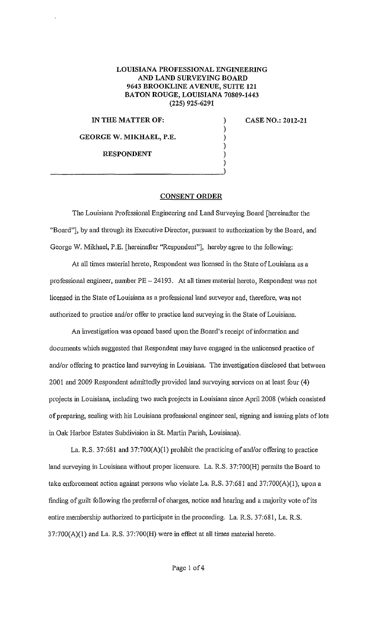## **LOUISIANA PROFESSIONAL ENGINEERING AND LAND SURVEYING BOARD 9643 BROOKLINE A VENUE, SUITE 121 BATON ROUGE, LOUISIANA 70809-1443 (225) 925-6291**

) ) ) ) )

## **IN THE MATTER OF:**

**GEORGE W. MIKHAEL, P.E.** 

**RESPONDENT** 

)  $_{\rm l}$ 

**CASE NO.: 2012-21** 

## **CONSENT ORDER**

The Louisiana Professional Engineering and Land Surveying Board [hereinafter the "Board"], by and through its Executive Director, pursuant to authorization by the Board, and George W. Mikhael, P.E. [hereinafter "Respondent"], hereby agree to the following:

At all times material hereto, Respondent was licensed in the State of Louisiana as a professional engineer, number PE- 24193. At all times material hereto, Respondent was not licensed in the State of Louisiana as a professional land surveyor and, therefore, was not authorized to practice and/or offer to practice land surveying in the State of Louisiana.

An investigation was opened based upon the Board's receipt of information and documents which suggested that Respondent may have engaged in the unlicensed practice of and/or offering to practice land surveying in Louisiana. The investigation disclosed that between 2001 and 2009 Respondent admittedly provided land surveying services on at least four (4) projects in Louisiana, including two such projects in Louisiana since Apri12008 (which consisted of preparing, sealing with his Louisiana professional engineer seal, signing and issuing plats of lots in Oak Harbor Estates Subdivision in St. Martin Parish, Louisiana).

La. R.S. 37:681 and 37:700(A)(l) prohibit the practicing of and/or offering to practice land surveying in Louisiana without proper licensure. La. R.S. 37:700(H) permits the Board to take enforcement action against persons who violate La. R.S. 37:681 and 37:700(A){l), upon a finding of guilt following the preferral of charges, notice and hearing and a majority vote of its entire membership authorized to participate in the proceeding. La. R.S. 37:681, La. R.S. 37:700(A)(l) and La. R.S. 37:700(H) were in effect at all times material hereto.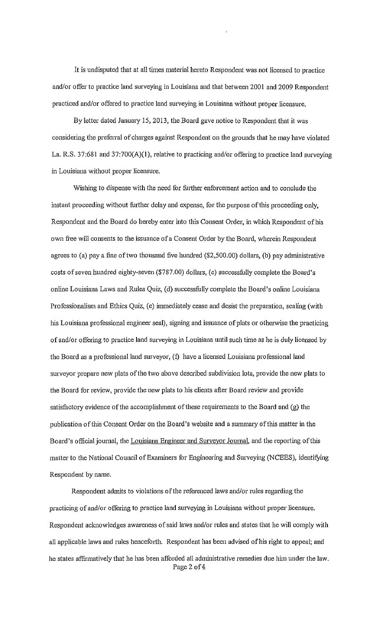It is undisputed that at all times material hereto Respondent was not licensed to practice and/or offer to practice land surveying in Louisiana and that between 2001 and 2009 Respondent practiced and/or offered to practice land surveying in Louisiana without proper licensure.

By letter dated January 15, 2013, the Board gave notice to Respondent that it was considering the preferral of charges against Respondent on the grounds that he may have violated La. R.S. 37:681 and 37:700(A)(I), relative to practicing and/or offering to practice land surveying in Louisiana without proper licensure.

Wishing to dispense with the need for further enforcement action and to conclude the instant proceeding without further delay and expense, for the purpose of this proceeding only, Respondent and the Board do hereby enter into this Consent Order, in which Respondent of his own free will consents to the issuance of a Consent Order by the Board, wherein Respondent agrees to (a) pay a fine of two thousand five hundred  $(\$2,500.00)$  dollars, (b) pay administrative costs of seven hundred eighty-seven (\$787.00) dollars, (c) successfully complete the Board's online Louisiana Laws and Rules Quiz, (d) successfully complete the Board's online Louisiana Professionalism and Ethics Quiz, (e) immediately cease and desist the preparation, sealing (with his Louisiana professional engineer seal), signing and issuance of plats or otherwise the practicing of and/or offering to practice land surveying in Louisiana until such time as he is duly licensed by the Board as a professional land surveyor, (f) have a licensed Louisiana professional land surveyor prepare new plats of the two above described subdivision lots, provide the new plats to the Board for review, provide the new plats to his clients after Board review and provide satisfactory evidence of the accomplishment of these requirements to the Board and (g) the publication of this Consent Order on the Board's website and a summary ofthis matter in the Board's official journal, the Louisiana Engineer and Surveyor Journal, and the reporting of this matter to the National Council of Examiners for Engineering and Surveying (NCEES), identifYing Respondent by name.

Respondent admits to violations of the referenced laws and/or rules regarding the practicing of and/or offering to practice land surveying in Louisiana without proper licensure. Respondent acknowledges awareness of said laws and/or rules and states that he will comply with all applicable laws and rules henceforth. Respondent has been advised of his right to appeal; and he states affirmatively that he has been afforded all administrative remedies due him under the law. Page 2 of 4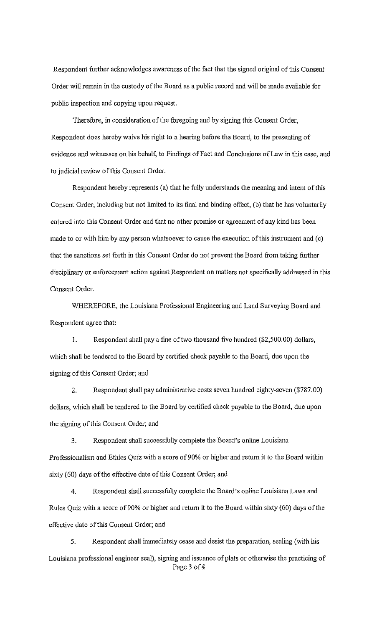Respondent further acknowledges awareness of the fact that the signed original of this Consent Order will remain in the custody of the Board as a public record and will be made available for public inspection and copying upon request.

Therefore, in consideration of the foregoing and by signing this Consent Order, Respondent does hereby waive his right to a hearing before the Board, to the presenting of evidence and witnesses on his behalf, to Findings of Fact and Conclusions of Law in this case, and to judicial review of this Consent Order.

Respondent hereby represents (a) that he fully understands the meaning and intent of this Consent Order, including but not limited to its final and binding effect, (b) that he has voluntarily entered into this Consent Order and that no other promise or agreement of any kind has been made to or with him by any person whatsoever to cause the execution of this instrument and (c) that the sanctions set forth in this Consent Order do not prevent the Board from taking further disciplinary or enforcement action against Respondent on matters not specifically addressed in this Consent Order.

WHEREFORE, the Louisiana Professional Engineering and Land Surveying Board and Respondent agree that:

1. Respondent shall pay a fine of two thousand five hundred (\$2,500.00) dollars, which shall be tendered to the Board by certified check payable to the Board, due upon the signing of this Consent Order; and

2. Respondent shall pay administrative costs seven hundred eighty-seven (\$787.00) dollars, which shall be tendered to the Board by certified check payable to the Board, due upon the signing of this Consent Order; and

3. Respondent shall successfully complete the Board's online Louisiana Professionalism and Ethics Quiz with a score of 90% or higher and return it to the Board within sixty (60) days of the effective date of this Consent Order; and

4. Respondent shall successfully complete the Board's online Louisiana Laws and Rules Quiz with a score of 90% or higher and return it to the Board within sixty (60) days of the effective date of this Consent Order; and

5. Respondent shall immediately cease and desist the preparation, sealing (with his Louisiana professional engineer seal), signing and issuance of plats or otherwise the practicing of Page 3 of 4